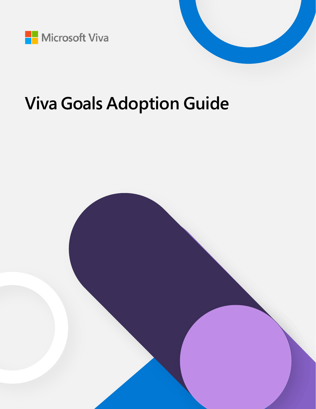

# **Viva Goals Adoption Guide**

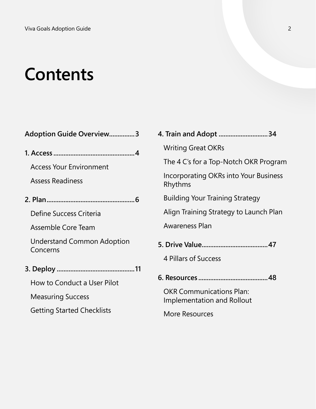# **Contents**

| <b>Adoption Guide Overview3</b>               |   |
|-----------------------------------------------|---|
|                                               |   |
| <b>Access Your Environment</b>                |   |
| <b>Assess Readiness</b>                       |   |
|                                               |   |
| Define Success Criteria                       |   |
| Assemble Core Team                            |   |
| <b>Understand Common Adoption</b><br>Concerns |   |
|                                               |   |
| <b>How to Conduct a User Pilot</b>            | Є |
| <b>Measuring Success</b>                      |   |
| <b>Getting Started Checklists</b>             |   |

| 4. Train and Adopt 34                                         |
|---------------------------------------------------------------|
| <b>Writing Great OKRs</b>                                     |
| The 4 C's for a Top-Notch OKR Program                         |
| Incorporating OKRs into Your Business<br>Rhythms              |
| <b>Building Your Training Strategy</b>                        |
| Align Training Strategy to Launch Plan                        |
| <b>Awareness Plan</b>                                         |
|                                                               |
| 4 Pillars of Success                                          |
|                                                               |
| <b>OKR Communications Plan:</b><br>Implementation and Rollout |
| More Resources                                                |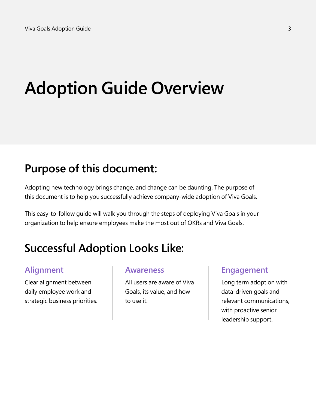# **Adoption Guide Overview**

# **Purpose of this document:**

Adopting new technology brings change, and change can be daunting. The purpose of this document is to help you successfully achieve company-wide adoption of Viva Goals.

This easy-to-follow guide will walk you through the steps of deploying Viva Goals in your organization to help ensure employees make the most out of OKRs and Viva Goals.

# **Successful Adoption Looks Like:**

# **Alignment**

Clear alignment between daily employee work and strategic business priorities.

### **Awareness**

All users are aware of Viva Goals, its value, and how to use it.

## **Engagement**

Long term adoption with data-driven goals and relevant communications, with proactive senior leadership support.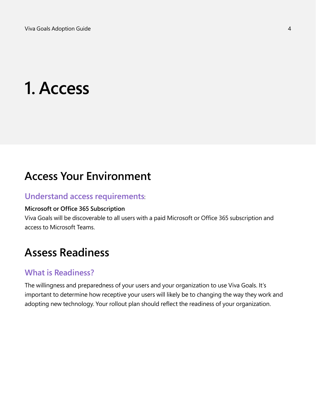# **1. Access**

# **Access Your Environment**

### **Understand access requirements**:

### **Microsoft or Office 365 Subscription**

Viva Goals will be discoverable to all users with a paid Microsoft or Office 365 subscription and access to Microsoft Teams.

# **Assess Readiness**

### **What is Readiness?**

The willingness and preparedness of your users and your organization to use Viva Goals. It's important to determine how receptive your users will likely be to changing the way they work and adopting new technology. Your rollout plan should reflect the readiness of your organization.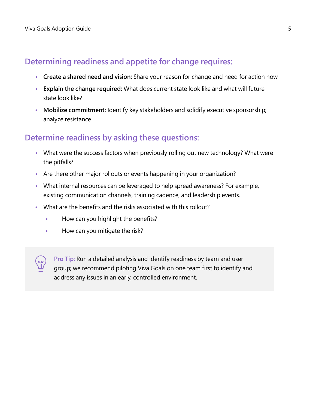# **Determining readiness and appetite for change requires:**

- **• Create a shared need and vision:** Share your reason for change and need for action now
- **• Explain the change required:** What does current state look like and what will future state look like?
- **• Mobilize commitment:** Identify key stakeholders and solidify executive sponsorship; analyze resistance

# **Determine readiness by asking these questions:**

- **•** What were the success factors when previously rolling out new technology? What were the pitfalls?
- **•** Are there other major rollouts or events happening in your organization?
- **•** What internal resources can be leveraged to help spread awareness? For example, existing communication channels, training cadence, and leadership events.
- **•** What are the benefits and the risks associated with this rollout?
	- **•** How can you highlight the benefits?
	- **•** How can you mitigate the risk?

**Pro Tip:** Run a detailed analysis and identify readiness by team and user group; we recommend piloting Viva Goals on one team first to identify and address any issues in an early, controlled environment.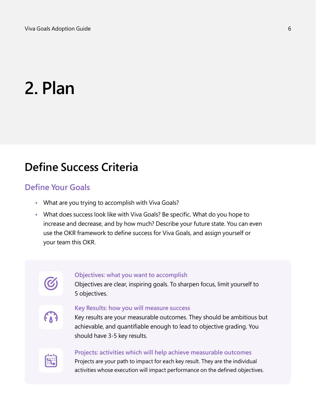# **2. Plan**

# **Define Success Criteria**

## **Define Your Goals**

- **•** What are you trying to accomplish with Viva Goals?
- **•** What does success look like with Viva Goals? Be specific. What do you hope to increase and decrease, and by how much? Describe your future state. You can even use the OKR framework to define success for Viva Goals, and assign yourself or your team this OKR.

### **Objectives: what you want to accomplish**

Objectives are clear, inspiring goals. To sharpen focus, limit yourself to 5 objectives.

# $f_{\Lambda}$

### **Key Results: how you will measure success**

Key results are your measurable outcomes. They should be ambitious but achievable, and quantifiable enough to lead to objective grading. You should have 3-5 key results.



### **Projects: activities which will help achieve measurable outcomes**

Projects are your path to impact for each key result. They are the individual activities whose execution will impact performance on the defined objectives.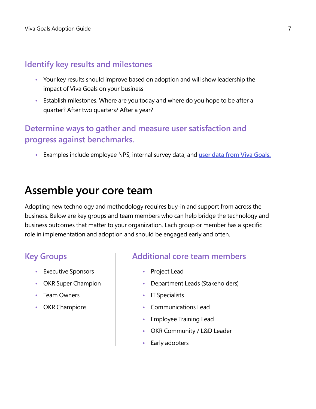# **Identify key results and milestones**

- **•** Your key results should improve based on adoption and will show leadership the impact of Viva Goals on your business
- **•** Establish milestones. Where are you today and where do you hope to be after a quarter? After two quarters? After a year?

# **Determine ways to gather and measure user satisfaction and progress against benchmarks.**

**•** Examples include employee NPS, internal survey data, and **[user data from Viva Goals.](http://docs.microsoft.com/learn/modules/viva-goals-reporting-data)**

# **Assemble your core team**

Adopting new technology and methodology requires buy-in and support from across the business. Below are key groups and team members who can help bridge the technology and business outcomes that matter to your organization. Each group or member has a specific role in implementation and adoption and should be engaged early and often.

# **Key Groups**

- **•** Executive Sponsors
- **•** OKR Super Champion
- **•** Team Owners
- **•** OKR Champions

### **Additional core team members**

- **•** Project Lead
- **•** Department Leads (Stakeholders)
- **•** IT Specialists
- **•** Communications Lead
- **•** Employee Training Lead
- **•** OKR Community / L&D Leader
- **•** Early adopters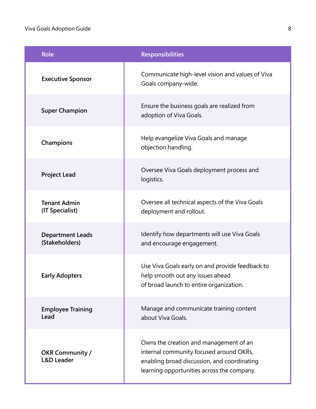### Viva Goals Adoption Guide 8

| <b>Role</b>                                     | <b>Responsibilities</b>                                                                                                                                                        |
|-------------------------------------------------|--------------------------------------------------------------------------------------------------------------------------------------------------------------------------------|
| <b>Executive Sponsor</b>                        | Communicate high-level vision and values of Viva<br>Goals company-wide.                                                                                                        |
| <b>Super Champion</b>                           | Ensure the business goals are realized from<br>adoption of Viva Goals.                                                                                                         |
| Champions                                       | Help evangelize Viva Goals and manage<br>objection handling.                                                                                                                   |
| <b>Project Lead</b>                             | Oversee Viva Goals deployment process and<br>logistics.                                                                                                                        |
| <b>Tenant Admin</b><br>(IT Specialist)          | Oversee all technical aspects of the Viva Goals<br>deployment and rollout.                                                                                                     |
| <b>Department Leads</b><br>(Stakeholders)       | Identify how departments will use Viva Goals<br>and encourage engagement.                                                                                                      |
| <b>Early Adopters</b>                           | Use Viva Goals early on and provide feedback to<br>help smooth out any issues ahead<br>of broad launch to entire organization.                                                 |
| <b>Employee Training</b><br>Lead                | Manage and communicate training content<br>about Viva Goals.                                                                                                                   |
| <b>OKR Community /</b><br><b>L&amp;D Leader</b> | Owns the creation and management of an<br>internal community focused around OKRs,<br>enabling broad discussion, and coordinating<br>learning opportunities across the company. |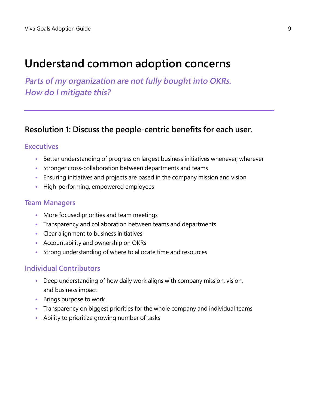# **Understand common adoption concerns**

**Parts of my organization are not fully bought into OKRs. How do I mitigate this?**

## **Resolution 1: Discuss the people-centric benefits for each user.**

### **Executives**

- **•** Better understanding of progress on largest business initiatives whenever, wherever
- **•** Stronger cross-collaboration between departments and teams
- **•** Ensuring initiatives and projects are based in the company mission and vision
- **•** High-performing, empowered employees

### **Team Managers**

- **•** More focused priorities and team meetings
- **•** Transparency and collaboration between teams and departments
- **•** Clear alignment to business initiatives
- **•** Accountability and ownership on OKRs
- **•** Strong understanding of where to allocate time and resources

### **Individual Contributors**

- **•** Deep understanding of how daily work aligns with company mission, vision, and business impact
- **•** Brings purpose to work
- **•** Transparency on biggest priorities for the whole company and individual teams
- **•** Ability to prioritize growing number of tasks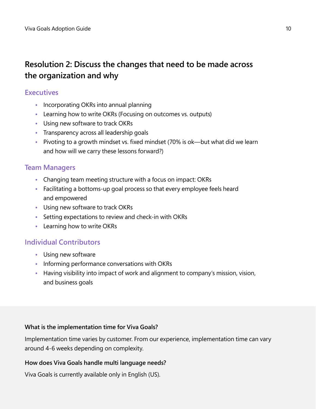# **Resolution 2: Discuss the changes that need to be made across the organization and why**

### **Executives**

- **•** Incorporating OKRs into annual planning
- **•** Learning how to write OKRs (Focusing on outcomes vs. outputs)
- **•** Using new software to track OKRs
- **•** Transparency across all leadership goals
- **•** Pivoting to a growth mindset vs. fixed mindset (70% is ok—but what did we learn and how will we carry these lessons forward?)

### **Team Managers**

- **•** Changing team meeting structure with a focus on impact: OKRs
- **•** Facilitating a bottoms-up goal process so that every employee feels heard and empowered
- **•** Using new software to track OKRs
- **•** Setting expectations to review and check-in with OKRs
- **•** Learning how to write OKRs

### **Individual Contributors**

- **•** Using new software
- **•** Informing performance conversations with OKRs
- **•** Having visibility into impact of work and alignment to company's mission, vision, and business goals

### **What is the implementation time for Viva Goals?**

Implementation time varies by customer. From our experience, implementation time can vary around 4-6 weeks depending on complexity.

### **How does Viva Goals handle multi language needs?**

Viva Goals is currently available only in English (US).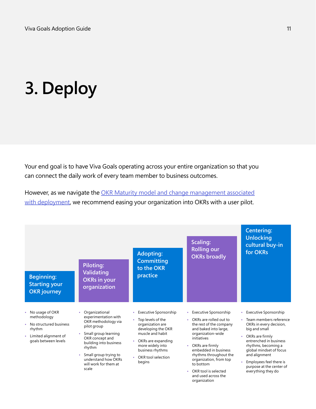# **3. Deploy**

Your end goal is to have Viva Goals operating across your entire organization so that you can connect the daily work of every team member to business outcomes.

However, as we navigate the [OKR Maturity model and change management associated](https://go.microsoft.com/fwlink/?linkid=2193442) [with deployment](https://go.microsoft.com/fwlink/?linkid=2193442), we recommend easing your organization into OKRs with a user pilot.

| Piloting:<br><b>Validating</b><br><b>Beginning:</b><br><b>Starting your</b><br><b>OKR</b> journey                                                                                                     | <b>Adopting:</b><br><b>Committing</b><br>to the OKR<br>practice<br><b>OKRs in your</b><br>organization                                                                                                                                                                                                                                                                                       | Scaling:<br><b>Rolling our</b><br><b>OKRs broadly</b>                                                                                                                                                                                                                                                                                             | <b>Centering:</b><br><b>Unlocking</b><br>cultural buy-in<br>for OKRs                                                                                                                                                                                                                                           |
|-------------------------------------------------------------------------------------------------------------------------------------------------------------------------------------------------------|----------------------------------------------------------------------------------------------------------------------------------------------------------------------------------------------------------------------------------------------------------------------------------------------------------------------------------------------------------------------------------------------|---------------------------------------------------------------------------------------------------------------------------------------------------------------------------------------------------------------------------------------------------------------------------------------------------------------------------------------------------|----------------------------------------------------------------------------------------------------------------------------------------------------------------------------------------------------------------------------------------------------------------------------------------------------------------|
| No usage of OKR<br>Organizational<br>٠<br>methodology<br>• No structured business<br>pilot group<br>rhythm<br>Limited alignment of<br>OKR concept and<br>goals between levels<br>rhythm<br>۰<br>scale | <b>Executive Sponsorship</b><br>٠<br>experimentation with<br>Top levels of the<br>OKR methodology via<br>organization are<br>developing the OKR<br>muscle and habit<br>Small group learning<br>OKRs are expanding<br>building into business<br>more widely into<br>business rhythms<br>Small group trying to<br>OKR tool selection<br>understand how OKRs<br>begins<br>will work for them at | <b>Executive Sponsorship</b><br>۰<br>OKRs are rolled out to<br>ò.<br>the rest of the company<br>and baked into large,<br>organization-wide<br>initiatives<br>OKRs are firmly<br>$\bullet$<br>embedded in business<br>rhythms throughout the<br>organization, from top<br>to bottom<br>OKR tool is selected<br>and used across the<br>organization | • Executive Sponsorship<br>Team members reference<br>OKRs in every decision,<br>big and small<br>OKRs are firmly<br>$\ddot{\bullet}$<br>entrenched in business<br>rhythms, becoming a<br>global mindset of focus<br>and alignment<br>Employees feel there is<br>purpose at the center of<br>everything they do |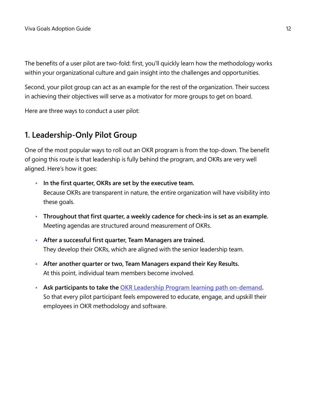The benefits of a user pilot are two-fold: first, you'll quickly learn how the methodology works within your organizational culture and gain insight into the challenges and opportunities.

Second, your pilot group can act as an example for the rest of the organization. Their success in achieving their objectives will serve as a motivator for more groups to get on board.

Here are three ways to conduct a user pilot:

# **1. Leadership-Only Pilot Group**

One of the most popular ways to roll out an OKR program is from the top-down. The benefit of going this route is that leadership is fully behind the program, and OKRs are very well aligned. Here's how it goes:

- **• In the first quarter, OKRs are set by the executive team.** Because OKRs are transparent in nature, the entire organization will have visibility into these goals.
- **• Throughout that first quarter, a weekly cadence for check-ins is set as an example.** Meeting agendas are structured around measurement of OKRs.
- **• After a successful first quarter, Team Managers are trained.** They develop their OKRs, which are aligned with the senior leadership team.
- **• After another quarter or two, Team Managers expand their Key Results.** At this point, individual team members become involved.
- **• Ask participants to take the [OKR Leadership Program learning path](http://docs.microsoft.com/learn/paths/okr-champions) on-demand.** So that every pilot participant feels empowered to educate, engage, and upskill their employees in OKR methodology and software.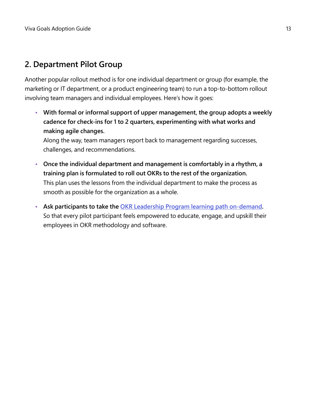# **2. Department Pilot Group**

Another popular rollout method is for one individual department or group (for example, the marketing or IT department, or a product engineering team) to run a top-to-bottom rollout involving team managers and individual employees. Here's how it goes:

**• With formal or informal support of upper management, the group adopts a weekly cadence for check-ins for 1 to 2 quarters, experimenting with what works and making agile changes.**

Along the way, team managers report back to management regarding successes, challenges, and recommendations.

- **• Once the individual department and management is comfortably in a rhythm, a training plan is formulated to roll out OKRs to the rest of the organization.** This plan uses the lessons from the individual department to make the process as smooth as possible for the organization as a whole.
- **• Ask participants to take the [OKR Leadership Program learning path on-demand](http://docs.microsoft.com/learn/paths/okr-champions).** So that every pilot participant feels empowered to educate, engage, and upskill their employees in OKR methodology and software.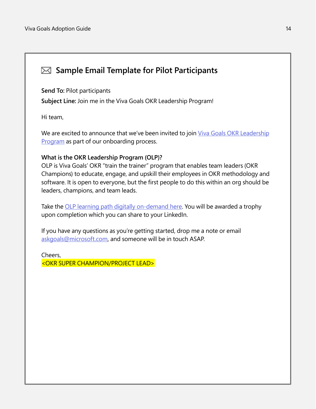# **Sample Email Template for Pilot Participants**

**Send To:** Pilot participants

**Subject Line:** Join me in the Viva Goals OKR Leadership Program!

Hi team,

We are excited to announce that we've been invited to join [Viva Goals OKR Leadership](http://docs.microsoft.com/learn/paths/okr-champions) **[Program](http://docs.microsoft.com/learn/paths/okr-champions)** as part of our onboarding process.

### **What is the OKR Leadership Program (OLP)?**

OLP is Viva Goals' OKR "train the trainer" program that enables team leaders (OKR Champions) to educate, engage, and upskill their employees in OKR methodology and software. It is open to everyone, but the first people to do this within an org should be leaders, champions, and team leads.

Take the [OLP learning path digitally on-demand here.](http://docs.microsoft.com/learn/paths/okr-champions) You will be awarded a trophy upon completion which you can share to your LinkedIn.

If you have any questions as you're getting started, drop me a note or email [askgoals@microsoft.com,](mailto:mailto:askgoals%40microsoft.com?subject=) and someone will be in touch ASAP.

Cheers, <OKR SUPER CHAMPION/PROJECT LEAD>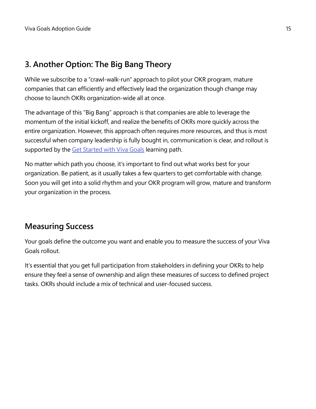# **3. Another Option: The Big Bang Theory**

While we subscribe to a "crawl-walk-run" approach to pilot your OKR program, mature companies that can efficiently and effectively lead the organization though change may choose to launch OKRs organization-wide all at once.

The advantage of this "Big Bang" approach is that companies are able to leverage the momentum of the initial kickoff, and realize the benefits of OKRs more quickly across the entire organization. However, this approach often requires more resources, and thus is most successful when company leadership is fully bought in, communication is clear, and rollout is supported by the [Get Started with Viva Goals](http://docs.microsoft.com/learn/paths/viva-goals-get-started) learning path.

No matter which path you choose, it's important to find out what works best for your organization. Be patient, as it usually takes a few quarters to get comfortable with change. Soon you will get into a solid rhythm and your OKR program will grow, mature and transform your organization in the process.

# **Measuring Success**

Your goals define the outcome you want and enable you to measure the success of your Viva Goals rollout.

It's essential that you get full participation from stakeholders in defining your OKRs to help ensure they feel a sense of ownership and align these measures of success to defined project tasks. OKRs should include a mix of technical and user-focused success.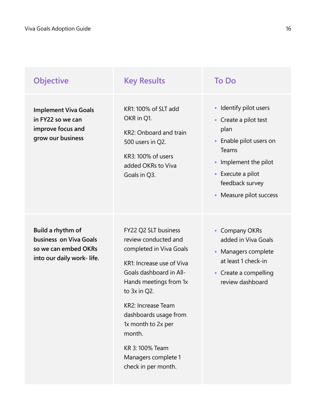| <b>Objective</b>                                                                                 | <b>Key Results</b>                                                                                                                                                                                                                                                                                                               | <b>To Do</b>                                                                                                                                                                            |
|--------------------------------------------------------------------------------------------------|----------------------------------------------------------------------------------------------------------------------------------------------------------------------------------------------------------------------------------------------------------------------------------------------------------------------------------|-----------------------------------------------------------------------------------------------------------------------------------------------------------------------------------------|
| <b>Implement Viva Goals</b><br>in FY22 so we can<br>improve focus and<br>grow our business       | KR1: 100% of SLT add<br>OKR in Q1.<br>KR2: Onboard and train<br>500 users in Q2.<br>KR3: 100% of users<br>added OKRs to Viva<br>Goals in Q3.                                                                                                                                                                                     | • Identify pilot users<br>• Create a pilot test<br>plan<br>• Enable pilot users on<br>Teams<br>• Implement the pilot<br>• Execute a pilot<br>feedback survey<br>• Measure pilot success |
| Build a rhythm of<br>business on Viva Goals<br>so we can embed OKRs<br>into our daily work-life. | FY22 Q2 SLT business<br>review conducted and<br>completed in Viva Goals<br>KR1: Increase use of Viva<br>Goals dashboard in All-<br>Hands meetings from 1x<br>to 3x in Q2.<br><b>KR2: Increase Team</b><br>dashboards usage from<br>1x month to 2x per<br>month.<br>KR 3: 100% Team<br>Managers complete 1<br>check in per month. | • Company OKRs<br>added in Viva Goals<br>• Managers complete<br>at least 1 check-in<br>• Create a compelling<br>review dashboard                                                        |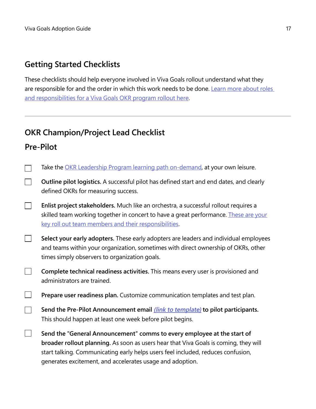# **Getting Started Checklists**

These checklists should help everyone involved in Viva Goals rollout understand what they are responsible for and the order in which this work needs to be done. Learn more about roles [and responsibilities for a Viva Goals OKR program rollout here.](https://go.microsoft.com/fwlink/?linkid=2194112)

# **OKR Champion/Project Lead Checklist**

# **Pre-Pilot**

| Take the OKR Leadership Program learning path on-demand, at your own leisure.                                                                                                                                                                                                                                    |
|------------------------------------------------------------------------------------------------------------------------------------------------------------------------------------------------------------------------------------------------------------------------------------------------------------------|
| Outline pilot logistics. A successful pilot has defined start and end dates, and clearly<br>defined OKRs for measuring success.                                                                                                                                                                                  |
| Enlist project stakeholders. Much like an orchestra, a successful rollout requires a<br>skilled team working together in concert to have a great performance. These are your<br>key roll out team members and their responsibilities.                                                                            |
| Select your early adopters. These early adopters are leaders and individual employees<br>and teams within your organization, sometimes with direct ownership of OKRs, other<br>times simply observers to organization goals.                                                                                     |
| Complete technical readiness activities. This means every user is provisioned and<br>administrators are trained.                                                                                                                                                                                                 |
| Prepare user readiness plan. Customize communication templates and test plan.                                                                                                                                                                                                                                    |
| Send the Pre-Pilot Announcement email <i>(link to template)</i> to pilot participants.<br>This should happen at least one week before pilot begins.                                                                                                                                                              |
| Send the "General Announcement" comms to every employee at the start of<br>broader rollout planning. As soon as users hear that Viva Goals is coming, they will<br>start talking. Communicating early helps users feel included, reduces confusion,<br>generates excitement, and accelerates usage and adoption. |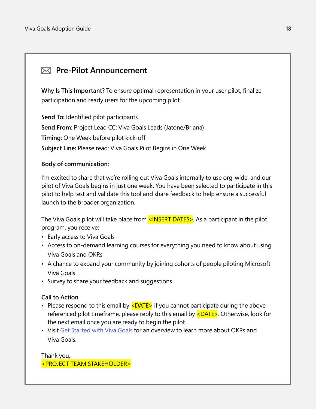# <span id="page-17-0"></span>**Pre-Pilot Announcement**

**Why Is This Important?** To ensure optimal representation in your user pilot, finalize participation and ready users for the upcoming pilot.

**Send To:** Identified pilot participants **Send From:** Project Lead CC: Viva Goals Leads (Jatone/Briana) **Timing:** One Week before pilot kick-off **Subject Line:** Please read: Viva Goals Pilot Begins in One Week

### **Body of communication:**

I'm excited to share that we're rolling out Viva Goals internally to use org-wide, and our pilot of Viva Goals begins in just one week. You have been selected to participate in this pilot to help test and validate this tool and share feedback to help ensure a successful launch to the broader organization.

The Viva Goals pilot will take place from <INSERT DATES>. As a participant in the pilot program, you receive:

- Early access to Viva Goals
- Access to on-demand learning courses for everything you need to know about using Viva Goals and OKRs
- A chance to expand your community by joining cohorts of people piloting Microsoft Viva Goals
- Survey to share your feedback and suggestions

### **Call to Action**

- Please respond to this email by  $\leq$ DATE $>$  if you cannot participate during the abovereferenced pilot timeframe, please reply to this email by  $\leq$ DATE $\geq$ . Otherwise, look for the next email once you are ready to begin the pilot.
- Visit [Get Started with Viva Goals](http://docs.microsoft.com/learn/paths/viva-goals-get-started ) for an overview to learn more about OKRs and Viva Goals.

Thank you, <PROJECT TEAM STAKEHOLDER>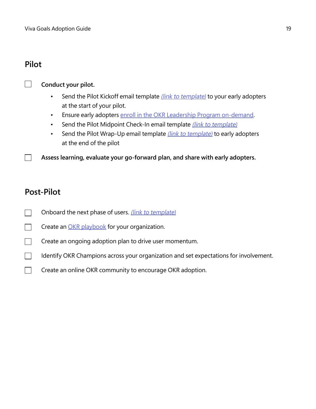## **Pilot**



 $\Box$ 

### **Conduct your pilot.**

- Send the Pilot Kickoff email template *[\(link to template\)](#page-19-0)* to your early adopters at the start of your pilot.
- Ensure early adopters [enroll in the OKR Leadership Program on-demand](http://docs.microsoft.com/learn/paths/okr-champions).
- Send the Pilot Midpoint Check-In email template *[\(link to template\)](#page-24-0)*
- Send the Pilot Wrap-Up email template *[\(link to template\)](#page-28-0)* to early adopters at the end of the pilot

**Assess learning, evaluate your go-forward plan, and share with early adopters.**

## **Post-Pilot**

- Onboard the next phase of users. [\(link to template\)](#page-29-0)  $\Box$
- Create an **OKR** playbook for your organization.  $\Box$
- Create an ongoing adoption plan to drive user momentum.
- $\Box$ Identify OKR Champions across your organization and set expectations for involvement.
- Create an online OKR community to encourage OKR adoption.  $\Box$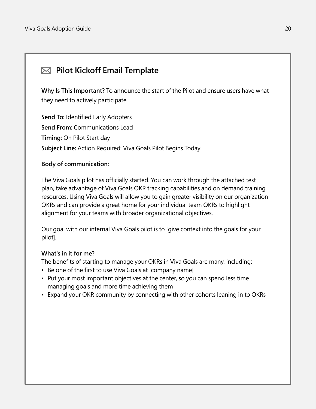# <span id="page-19-0"></span>**Pilot Kickoff Email Template**

**Why Is This Important?** To announce the start of the Pilot and ensure users have what they need to actively participate.

**Send To:** Identified Early Adopters **Send From:** Communications Lead **Timing:** On Pilot Start day **Subject Line:** Action Required: Viva Goals Pilot Begins Today

### **Body of communication:**

The Viva Goals pilot has officially started. You can work through the attached test plan, take advantage of Viva Goals OKR tracking capabilities and on demand training resources. Using Viva Goals will allow you to gain greater visibility on our organization OKRs and can provide a great home for your individual team OKRs to highlight alignment for your teams with broader organizational objectives.

Our goal with our internal Viva Goals pilot is to [give context into the goals for your pilot].

### **What's in it for me?**

The benefits of starting to manage your OKRs in Viva Goals are many, including:

- Be one of the first to use Viva Goals at [company name]
- Put your most important objectives at the center, so you can spend less time managing goals and more time achieving them
- Expand your OKR community by connecting with other cohorts leaning in to OKRs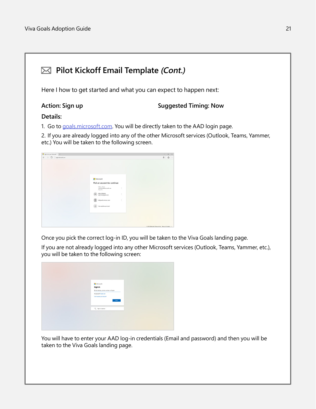# **Pilot Kickoff Email Template (Cont.)**

Here I how to get started and what you can expect to happen next:

### **Action: Sign up Suggested Timing: Now**

### **Details:**

1. Go to [goals.microsoft.com](http://goals.microsoft.com). You will be directly taken to the AAD login page.

2. If you are already logged into any of the other Microsoft services (Outlook, Teams, Yammer, etc.) You will be taken to the following screen.

| $\leftarrow$ $\rightarrow$ 0 spontanton                          | $\frac{1}{10}$ 0<br>$\sim$                   |
|------------------------------------------------------------------|----------------------------------------------|
|                                                                  |                                              |
|                                                                  |                                              |
|                                                                  |                                              |
| Microsoft                                                        |                                              |
| Pick an account to continue                                      |                                              |
| <b>Visitena Select</b><br>÷<br>with modified study on<br>Sond in |                                              |
| Kelly Williams<br>wely revising mail com<br>ĭ.                   |                                              |
| ÷<br>lethyw@crysteas.com                                         |                                              |
| Use another account                                              |                                              |
|                                                                  |                                              |
|                                                                  |                                              |
|                                                                  | 0 202 Mooselt Terra of the Privacy & Cookies |

Once you pick the correct log-in ID, you will be taken to the Viva Goals landing page.

If you are not already logged into any other Microsoft services (Outlook, Teams, Yammer, etc.), you will be taken to the following screen:



You will have to enter your AAD log-in credentials (Email and password) and then you will be taken to the Viva Goals landing page.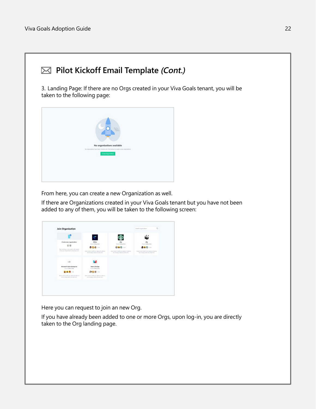

3. Landing Page: If there are no Orgs created in your Viva Goals tenant, you will be taken to the following page:



From here, you can create a new Organization as well.

If there are Organizations created in your Viva Goals tenant but you have not been added to any of them, you will be taken to the following screen:

|                                                                                   | c                                                                                     |                                                                         |                                                                          |
|-----------------------------------------------------------------------------------|---------------------------------------------------------------------------------------|-------------------------------------------------------------------------|--------------------------------------------------------------------------|
| Creste new organization                                                           | <b>IDEAs</b><br>Gener Volvos Stiri                                                    | <b>Ally</b><br>Course Wallag Grey                                       | Aby<br>Ourse Midwa Sred                                                  |
| Start working one paint goals, said-people.                                       | <b>的变体-</b> 11                                                                        | <b>Q 8 6</b> 10                                                         | <b>BAS</b>                                                               |
| Form your department or business units                                            | Complex the about your billions minist plans."<br>will of ships) dollar do smet ont.  | Amet melet-hardt non dealerst allamos<br>ed of should belonds are pitt. | comply founded monitoring moves there.<br>ed) at angua delor do amet and |
| <b>wall</b>                                                                       |                                                                                       |                                                                         |                                                                          |
| Microsoft Sales Enterprise<br>Ourset Valvius Salei                                | <b>Azure DavOpc</b><br>Corner Vietna Stini                                            |                                                                         |                                                                          |
| $-3.26$                                                                           | <b>图图图</b> (3)                                                                        |                                                                         |                                                                          |
| Anyi minin yadii sumahanyii ulamo -<br>west all pleases shifter also arrest tabl- | Apost weeks available and descend afternoon<br>and sit allows slider alle asset size. |                                                                         |                                                                          |

Here you can request to join an new Org.

If you have already been added to one or more Orgs, upon log-in, you are directly taken to the Org landing page.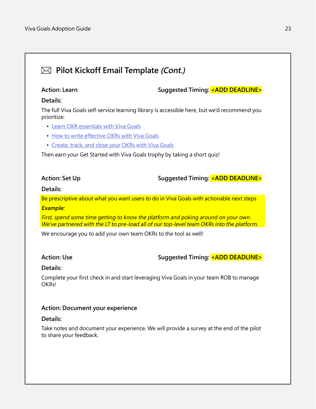# **Pilot Kickoff Email Template (Cont.)**

**Action: Learn Suggested Timing: <ADD DEADLINE>**

### **Details:**

The full Viva Goals self-service learning library is accessible here, but we'd recommend you prioritize:

- [Learn OKR essentials with Viva Goals](http://docs.microsoft.com/learn/modules/viva-goals-okr-essentials)
- [How to write effective OKRs with Viva Goals](http://docs.microsoft.com/learn/modules/viva-goals-write-effective-okrs)
- [Create, track, and close your OKRs with Viva Goals](http://docs.microsoft.com/learn/modules/viva-goals-create-track-close-okrs)

Then earn your Get Started with Viva Goals trophy by taking a short quiz!

**Action: Set Up Suggested Timing: <ADD DEADLINE>**

### **Details:**

Be prescriptive about what you want users to do in Viva Goals with actionable next steps **Example:**

First, spend some time getting to know the platform and poking around on your own. We've partnered with the LT to pre-load all of our top-level team OKRs into the platform.

We encourage you to add your own team OKRs to the tool as well!

**Action: Use Suggested Timing: <ADD DEADLINE>**

### **Details:**

Complete your first check in and start leveraging Viva Goals in your team ROB to manage OKRs!

### **Action: Document your experience**

### **Details:**

Take notes and document your experience. We will provide a survey at the end of the pilot to share your feedback.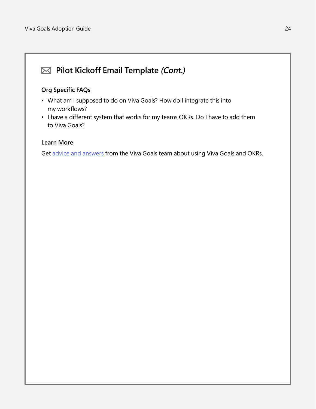# **Pilot Kickoff Email Template (Cont.)**

### **Org Specific FAQs**

- What am I supposed to do on Viva Goals? How do I integrate this into my workflows?
- I have a different system that works for my teams OKRs. Do I have to add them to Viva Goals?

### **Learn More**

Get [advice and answer](https://go.microsoft.com/fwlink/?linkid=2193902)s from the Viva Goals team about using Viva Goals and OKRs.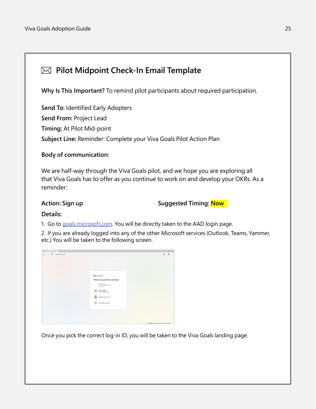# <span id="page-24-0"></span>**Pilot Midpoint Check-In Email Template**

**Why Is This Important?** To remind pilot participants about required participation.

**Send To:** Identified Early Adopters **Send From:** Project Lead **Timing:** At Pilot Mid-point **Subject Line:** Reminder: Complete your Viva Goals Pilot Action Plan

### **Body of communication:**

We are half-way through the Viva Goals pilot, and we hope you are exploring all that Viva Goals has to offer as you continue to work on and develop your OKRs. As a reminder:

### **Action: Sign up Suggested Timing: Now**

### **Details:**

1. Go to [goals.microsoft.com](http://goals.microsoft.com). You will be directly taken to the AAD login page.

2. If you are already logged into any of the other Microsoft services (Outlook, Teams, Yammer, etc.) You will be taken to the following screen.

| Sprintsyar Motoch X +                   |                                                                                                                                                                                                                               | the con-                                    | <b>B</b> × |       |
|-----------------------------------------|-------------------------------------------------------------------------------------------------------------------------------------------------------------------------------------------------------------------------------|---------------------------------------------|------------|-------|
| $\leftarrow$ $\rightarrow$ 0 sponsostom |                                                                                                                                                                                                                               |                                             | ☆ ☆        | 1.141 |
|                                         | Microsoft<br>Pick an account to continue<br><b>Mahmu Seleil</b><br>÷<br>workshop of their smark com-<br>Sond in<br>Kelly Williams<br>Kelly taking mail com<br>÷.<br>Ŧ.<br>leady with constructs control<br>Use another annual |                                             |            |       |
|                                         |                                                                                                                                                                                                                               |                                             |            |       |
|                                         |                                                                                                                                                                                                                               | 0 202 Mooselt Terrs of the Frivay & Cookies |            |       |

Once you pick the correct log-in ID, you will be taken to the Viva Goals landing page.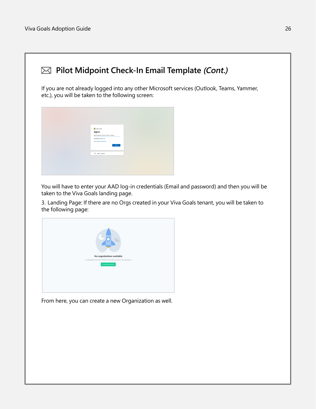

You will have to enter your AAD log-in credentials (Email and password) and then you will be taken to the Viva Goals landing page.

3. Landing Page: If there are no Orgs created in your Viva Goals tenant, you will be taken to the following page:



From here, you can create a new Organization as well.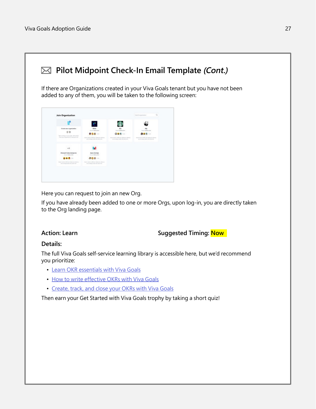

Here you can request to join an new Org.

If you have already been added to one or more Orgs, upon log-in, you are directly taken to the Org landing page.

### **Action: Learn Suggested Timing: Now**

### **Details:**

The full Viva Goals self-service learning library is accessible here, but we'd recommend you prioritize:

- [Learn OKR essentials with Viva Goals](http://docs.microsoft.com/learn/modules/viva-goals-okr-essentials)
- [How to write effective OKRs with Viva Goals](http://docs.microsoft.com/learn/modules/viva-goals-write-effective-okrs)
- [Create, track, and close your OKRs with Viva Goals](http://docs.microsoft.com/learn/modules/viva-goals-create-track-close-okrs)

Then earn your Get Started with Viva Goals trophy by taking a short quiz!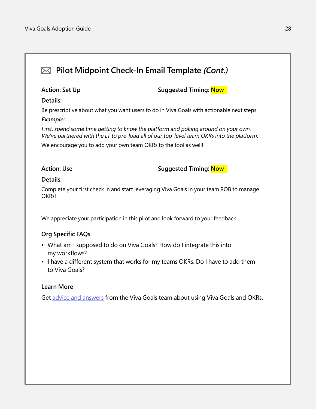# **Pilot Midpoint Check-In Email Template (Cont.) Action: Set Up Suggested Timing: Now Details:** Be prescriptive about what you want users to do in Viva Goals with actionable next steps **Example:** First, spend some time getting to know the platform and poking around on your own. We've partnered with the LT to pre-load all of our top-level team OKRs into the platform. We encourage you to add your own team OKRs to the tool as well! **Action: Use Suggested Timing: Now Details:** Complete your first check in and start leveraging Viva Goals in your team ROB to manage OKRs! We appreciate your participation in this pilot and look forward to your feedback. **Org Specific FAQs** • What am I supposed to do on Viva Goals? How do I integrate this into

- my workflows?
- I have a different system that works for my teams OKRs. Do I have to add them to Viva Goals?

### **Learn More**

Get [advice and answer](https://go.microsoft.com/fwlink/?linkid=2193902)s from the Viva Goals team about using Viva Goals and OKRs.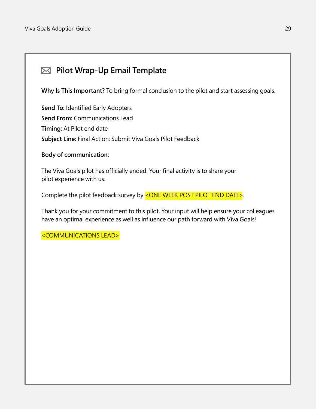# <span id="page-28-0"></span>**Pilot Wrap-Up Email Template**

**Why Is This Important?** To bring formal conclusion to the pilot and start assessing goals.

**Send To:** Identified Early Adopters **Send From:** Communications Lead **Timing:** At Pilot end date **Subject Line:** Final Action: Submit Viva Goals Pilot Feedback

### **Body of communication:**

The Viva Goals pilot has officially ended. Your final activity is to share your pilot experience with us.

Complete the pilot feedback survey by <ONE WEEK POST PILOT END DATE>.

Thank you for your commitment to this pilot. Your input will help ensure your colleagues have an optimal experience as well as influence our path forward with Viva Goals!

<COMMUNICATIONS LEAD>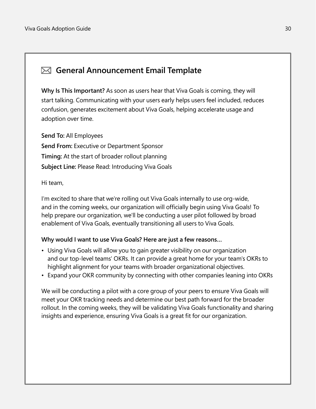# <span id="page-29-0"></span>**General Announcement Email Template**

**Why Is This Important?** As soon as users hear that Viva Goals is coming, they will start talking. Communicating with your users early helps users feel included, reduces confusion, generates excitement about Viva Goals, helping accelerate usage and adoption over time.

**Send To:** All Employees **Send From:** Executive or Department Sponsor **Timing:** At the start of broader rollout planning **Subject Line:** Please Read: Introducing Viva Goals

Hi team,

I'm excited to share that we're rolling out Viva Goals internally to use org-wide, and in the coming weeks, our organization will officially begin using Viva Goals! To help prepare our organization, we'll be conducting a user pilot followed by broad enablement of Viva Goals, eventually transitioning all users to Viva Goals.

### **Why would I want to use Viva Goals? Here are just a few reasons…**

- Using Viva Goals will allow you to gain greater visibility on our organization and our top-level teams' OKRs. It can provide a great home for your team's OKRs to highlight alignment for your teams with broader organizational objectives.
- Expand your OKR community by connecting with other companies leaning into OKRs

We will be conducting a pilot with a core group of your peers to ensure Viva Goals will meet your OKR tracking needs and determine our best path forward for the broader rollout. In the coming weeks, they will be validating Viva Goals functionality and sharing insights and experience, ensuring Viva Goals is a great fit for our organization.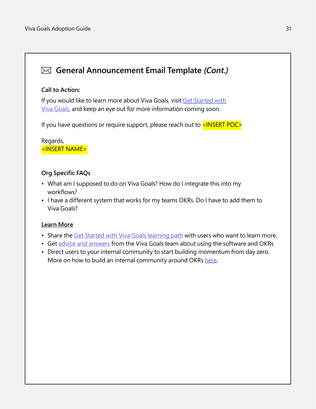# **General Announcement Email Template (Cont.)**

### **Call to Action:**

If you would like to learn more about Viva Goals, visit [Get Started with](http://docs.microsoft.com/learn/paths/viva-goals-get-started) [Viva Goals,](http://docs.microsoft.com/learn/paths/viva-goals-get-started) and keep an eye out for more information coming soon.

If you have questions or require support, please reach out to  $\leq$ INSERT POC $\geq$ 

Regards, <INSERT NAME>

### **Org Specific FAQs**

- What am I supposed to do on Viva Goals? How do I integrate this into my workflows?
- I have a different system that works for my teams OKRs. Do I have to add them to Viva Goals?

### **Learn More**

- Share the [Get Started with Viva Goals learning path](http://docs.microsoft.com/learn/paths/viva-goals-get-started ) with users who want to learn more.
- Get [advice and answers](https://go.microsoft.com/fwlink/?linkid=2193902) from the Viva Goals team about using the software and OKRs
- Direct users to your internal community to start building momentum from day zero. More on how to build an internal community around OKRs [here](https://go.microsoft.com/fwlink/?linkid=2194009).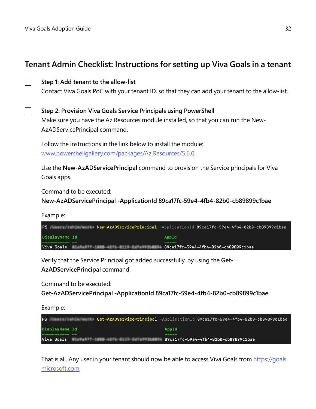# **Tenant Admin Checklist: Instructions for setting up Viva Goals in a tenant**

| Step 1: Add tenant to the allow-list                                                            |  |  |
|-------------------------------------------------------------------------------------------------|--|--|
| Contact Viva Goals PoC with your tenant ID, so that they can add your tenant to the allow-list. |  |  |

**Step 2: Provision Viva Goals Service Principals using PowerShell** Make sure you have the Az.Resources module installed, so that you can run the New-AzADServicePrincipal command.

Follow the instructions in the link below to install the module: [www.powershellgallery.com/packages/Az.Resources/5.6.0](https://www.powershellgallery.com/packages/Az.Resources/5.6.0)

Use the **New-AzADServicePrincipal** command to provision the Service principals for Viva Goals apps.

Command to be executed:

**New-AzADServicePrincipal -ApplicationId 89ca17fc-59e4-4fb4-82b0-cb89899c1bae**

Example:

| PS                    | New-AzADServicePrincipal -ApplicationId 89ca17fc-59e4-4fb4-82b0-cb898999c1bae                |
|-----------------------|----------------------------------------------------------------------------------------------|
| <b>DisplayName Id</b> | AppId                                                                                        |
|                       | --------                                                                                     |
|                       | Viva Goals <b>Market Market Albert Bank (2001</b> 2004) 89ca17fc-59e4-4fb4-82b0-cb89899c1bae |

Verify that the Service Principal got added successfully, by using the **Get-**

**AzADServicePrincipal** command.

Command to be executed:

**Get-AzADServicePrincipal -ApplicationId 89ca17fc-59e4-4fb4-82b0-cb89899c1bae**

Example:

| PS             |                                                 |             | Get-AzADServicePrincipal -ApplicationId 89ca17fc-59e4-4fb4-82b0-cb898999c1bae - بالمعالجة |
|----------------|-------------------------------------------------|-------------|-------------------------------------------------------------------------------------------|
| DisplayName Id |                                                 | AppId       |                                                                                           |
|                | Viva Goals 89ca17fc-59e4-4fb4-82b0-cb89899c1bae | ----------- |                                                                                           |

That is all. Any user in your tenant should now be able to access Viva Goals from [https://goals.](https://goals.microsoft.com) [microsoft.com.](https://goals.microsoft.com)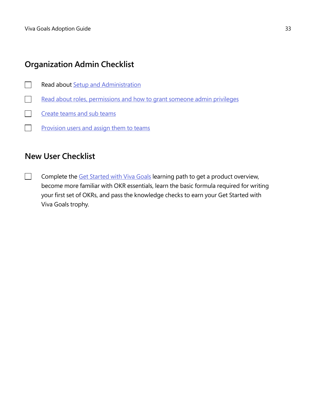# **Organization Admin Checklist**

- Read about [Setup and Administration](http://docs.microsoft.com/en-us/viva/goals/log-in-create-and-join-organizations)  $\Box$
- [Read about roles, permissions and how to grant someone admin privileges](http://docs.microsoft.com/en-us/viva/goals/roles-permissions-in-viva-goals)
- Create [teams and sub teams](http://docs.microsoft.com/en-us/viva/goals/create-and-edit-teams-and-subteams)  $\blacksquare$
- $\Box$ [Provision users and assign them to teams](http://docs.microsoft.com/en-us/viva/goals/setting-up-team)

# **New User Checklist**

Complete the [Get Started with Viva Goals](http://docs.microsoft.com/learn/paths/viva-goals-get-started) learning path to get a product overview,  $\Box$ become more familiar with OKR essentials, learn the basic formula required for writing your first set of OKRs, and pass the knowledge checks to earn your Get Started with Viva Goals trophy.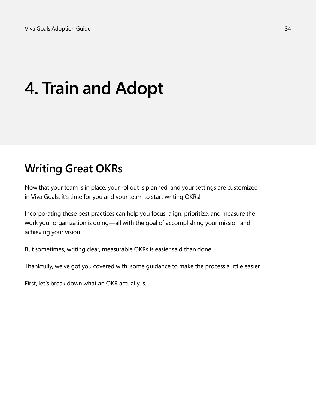# **4. Train and Adopt**

# **Writing Great OKRs**

Now that your team is in place, your rollout is planned, and your settings are customized in Viva Goals, it's time for you and your team to start writing OKRs!

Incorporating these best practices can help you focus, align, prioritize, and measure the work your organization is doing—all with the goal of accomplishing your mission and achieving your vision.

But sometimes, writing clear, measurable OKRs is easier said than done.

Thankfully, we've got you covered with some guidance to make the process a little easier.

First, let's break down what an OKR actually is.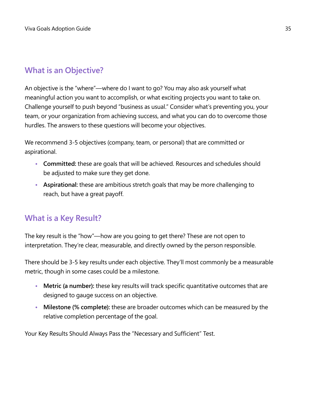# **What is an Objective?**

An objective is the "where"—where do I want to go? You may also ask yourself what meaningful action you want to accomplish, or what exciting projects you want to take on. Challenge yourself to push beyond "business as usual." Consider what's preventing you, your team, or your organization from achieving success, and what you can do to overcome those hurdles. The answers to these questions will become your objectives.

We recommend 3-5 objectives (company, team, or personal) that are committed or aspirational.

- **• Committed:** these are goals that will be achieved. Resources and schedules should be adjusted to make sure they get done.
- **• Aspirational:** these are ambitious stretch goals that may be more challenging to reach, but have a great payoff.

# **What is a Key Result?**

The key result is the "how"—how are you going to get there? These are not open to interpretation. They're clear, measurable, and directly owned by the person responsible.

There should be 3-5 key results under each objective. They'll most commonly be a measurable metric, though in some cases could be a milestone.

- **• Metric (a number):** these key results will track specific quantitative outcomes that are designed to gauge success on an objective.
- **• Milestone (% complete):** these are broader outcomes which can be measured by the relative completion percentage of the goal.

Your Key Results Should Always Pass the "Necessary and Sufficient" Test.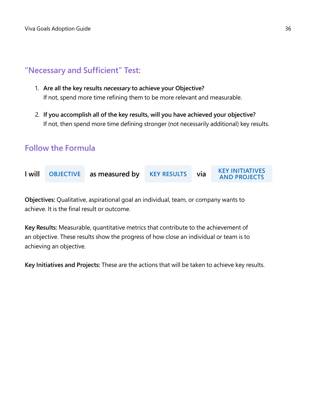## **"Necessary and Sufficient" Test:**

- 1. **Are all the key results necessary to achieve your Objective?** If not, spend more time refining them to be more relevant and measurable.
- 2. **If you accomplish all of the key results, will you have achieved your objective?** If not, then spend more time defining stronger (not necessarily additional) key results.

## **Follow the Formula**



**Objectives:** Qualitative, aspirational goal an individual, team, or company wants to achieve. It is the final result or outcome.

**Key Results:** Measurable, quantitative metrics that contribute to the achievement of an objective. These results show the progress of how close an individual or team is to achieving an objective.

**Key Initiatives and Projects:** These are the actions that will be taken to achieve key results.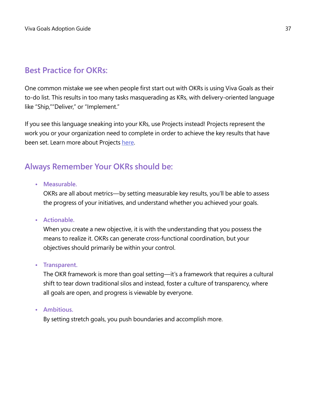# **Best Practice for OKRs:**

One common mistake we see when people first start out with OKRs is using Viva Goals as their to-do list. This results in too many tasks masquerading as KRs, with delivery-oriented language like "Ship,""Deliver," or "Implement."

If you see this language sneaking into your KRs, use Projects instead! Projects represent the work you or your organization need to complete in order to achieve the key results that have been set. Learn more about Projects [here](http://docs.microsoft.com/en-us/viva/goals/what-are-projects).

# **Always Remember Your OKRs should be:**

### **• Measurable.**

OKRs are all about metrics—by setting measurable key results, you'll be able to assess the progress of your initiatives, and understand whether you achieved your goals.

### **• Actionable.**

When you create a new objective, it is with the understanding that you possess the means to realize it. OKRs can generate cross-functional coordination, but your objectives should primarily be within your control.

### **• Transparent.**

The OKR framework is more than goal setting—it's a framework that requires a cultural shift to tear down traditional silos and instead, foster a culture of transparency, where all goals are open, and progress is viewable by everyone.

### **• Ambitious.**

By setting stretch goals, you push boundaries and accomplish more.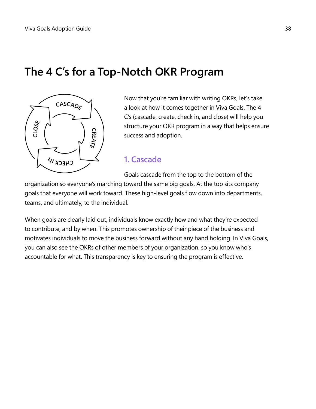# **The 4 C's for a Top-Notch OKR Program**



Now that you're familiar with writing OKRs, let's take a look at how it comes together in Viva Goals. The 4 C's (cascade, create, check in, and close) will help you structure your OKR program in a way that helps ensure success and adoption.

### **1. Cascade**

Goals cascade from the top to the bottom of the

organization so everyone's marching toward the same big goals. At the top sits company goals that everyone will work toward. These high-level goals flow down into departments, teams, and ultimately, to the individual.

When goals are clearly laid out, individuals know exactly how and what they're expected to contribute, and by when. This promotes ownership of their piece of the business and motivates individuals to move the business forward without any hand holding. In Viva Goals, you can also see the OKRs of other members of your organization, so you know who's accountable for what. This transparency is key to ensuring the program is effective.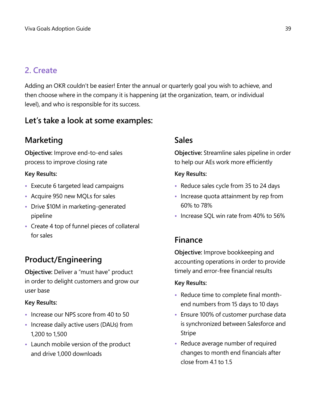# **2. Create**

Adding an OKR couldn't be easier! Enter the annual or quarterly goal you wish to achieve, and then choose where in the company it is happening (at the organization, team, or individual level), and who is responsible for its success.

# **Let's take a look at some examples:**

# **Marketing**

**Objective:** Improve end-to-end sales process to improve closing rate

### **Key Results:**

- **•** Execute 6 targeted lead campaigns
- **•** Acquire 950 new MQLs for sales
- **•** Drive \$10M in marketing-generated pipeline
- **•** Create 4 top of funnel pieces of collateral for sales

# **Product/Engineering**

**Objective:** Deliver a "must have" product in order to delight customers and grow our user base

### **Key Results:**

- **•** Increase our NPS score from 40 to 50
- **•** Increase daily active users (DAUs) from 1,200 to 1,500
- **•** Launch mobile version of the product and drive 1,000 downloads

# **Sales**

**Objective:** Streamline sales pipeline in order to help our AEs work more efficiently

### **Key Results:**

- **•** Reduce sales cycle from 35 to 24 days
- **•** Increase quota attainment by rep from 60% to 78%
- **•** Increase SQL win rate from 40% to 56%

# **Finance**

**Objective:** Improve bookkeeping and accounting operations in order to provide timely and error-free financial results

### **Key Results:**

- **•** Reduce time to complete final monthend numbers from 15 days to 10 days
- **•** Ensure 100% of customer purchase data is synchronized between Salesforce and Stripe
- **•** Reduce average number of required changes to month end financials after close from 4.1 to 1.5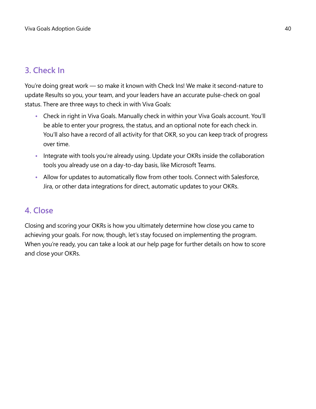# **3. Check In**

You're doing great work — so make it known with Check Ins! We make it second-nature to update Results so you, your team, and your leaders have an accurate pulse-check on goal status. There are three ways to check in with Viva Goals:

- **•** Check in right in Viva Goals. Manually check in within your Viva Goals account. You'll be able to enter your progress, the status, and an optional note for each check in. You'll also have a record of all activity for that OKR, so you can keep track of progress over time.
- **•** Integrate with tools you're already using. Update your OKRs inside the collaboration tools you already use on a day-to-day basis, like Microsoft Teams.
- **•** Allow for updates to automatically flow from other tools. Connect with Salesforce, Jira, or other data integrations for direct, automatic updates to your OKRs.

## **4. Close**

Closing and scoring your OKRs is how you ultimately determine how close you came to achieving your goals. For now, though, let's stay focused on implementing the program. When you're ready, you can take a look at our help page for further details on how to score and close your OKRs.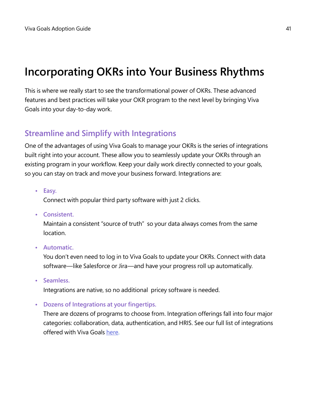# **Incorporating OKRs into Your Business Rhythms**

This is where we really start to see the transformational power of OKRs. These advanced features and best practices will take your OKR program to the next level by bringing Viva Goals into your day-to-day work.

# **Streamline and Simplify with Integrations**

One of the advantages of using Viva Goals to manage your OKRs is the series of integrations built right into your account. These allow you to seamlessly update your OKRs through an existing program in your workflow. Keep your daily work directly connected to your goals, so you can stay on track and move your business forward. Integrations are:

**• Easy.**

Connect with popular third party software with just 2 clicks.

**• Consistent.**

Maintain a consistent "source of truth" so your data always comes from the same location.

**• Automatic.**

You don't even need to log in to Viva Goals to update your OKRs. Connect with data software—like Salesforce or Jira—and have your progress roll up automatically.

**• Seamless.**

Integrations are native, so no additional pricey software is needed.

**• Dozens of Integrations at your fingertips.**

There are dozens of programs to choose from. Integration offerings fall into four major categories: collaboration, data, authentication, and HRIS. See our full list of integrations offered with Viva Goals [here](http://docs.microsoft.com/en-us/viva/goals/integrations-overview).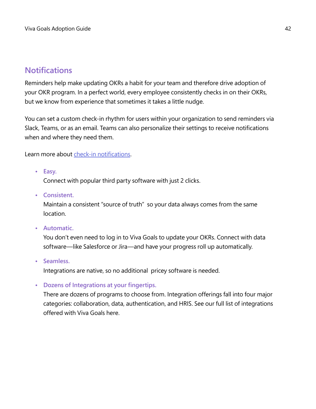## **Notifications**

Reminders help make updating OKRs a habit for your team and therefore drive adoption of your OKR program. In a perfect world, every employee consistently checks in on their OKRs, but we know from experience that sometimes it takes a little nudge.

You can set a custom check-in rhythm for users within your organization to send reminders via Slack, Teams, or as an email. Teams can also personalize their settings to receive notifications when and where they need them.

Learn more about [check-in notifications.](http://docs.microsoft.com/en-us/viva/goals/check-in-reminders-and-notifications)

**• Easy.**

Connect with popular third party software with just 2 clicks.

**• Consistent.**

Maintain a consistent "source of truth" so your data always comes from the same location.

**• Automatic.**

You don't even need to log in to Viva Goals to update your OKRs. Connect with data software—like Salesforce or Jira—and have your progress roll up automatically.

**• Seamless.**

Integrations are native, so no additional pricey software is needed.

**• Dozens of Integrations at your fingertips.**

There are dozens of programs to choose from. Integration offerings fall into four major categories: collaboration, data, authentication, and HRIS. See our full list of integrations offered with Viva Goals here.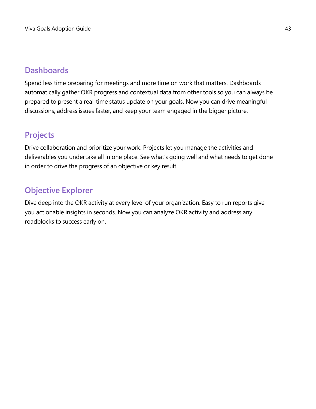# **Dashboards**

Spend less time preparing for meetings and more time on work that matters. Dashboards automatically gather OKR progress and contextual data from other tools so you can always be prepared to present a real-time status update on your goals. Now you can drive meaningful discussions, address issues faster, and keep your team engaged in the bigger picture.

# **Projects**

Drive collaboration and prioritize your work. Projects let you manage the activities and deliverables you undertake all in one place. See what's going well and what needs to get done in order to drive the progress of an objective or key result.

# **Objective Explorer**

Dive deep into the OKR activity at every level of your organization. Easy to run reports give you actionable insights in seconds. Now you can analyze OKR activity and address any roadblocks to success early on.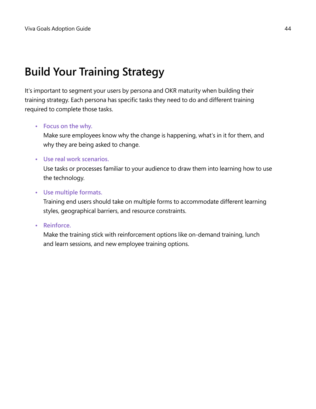# **Build Your Training Strategy**

It's important to segment your users by persona and OKR maturity when building their training strategy. Each persona has specific tasks they need to do and different training required to complete those tasks.

### **• Focus on the why.**

Make sure employees know why the change is happening, what's in it for them, and why they are being asked to change.

### **• Use real work scenarios.**

Use tasks or processes familiar to your audience to draw them into learning how to use the technology.

### **• Use multiple formats.**

Training end users should take on multiple forms to accommodate different learning styles, geographical barriers, and resource constraints.

### **• Reinforce.**

Make the training stick with reinforcement options like on-demand training, lunch and learn sessions, and new employee training options.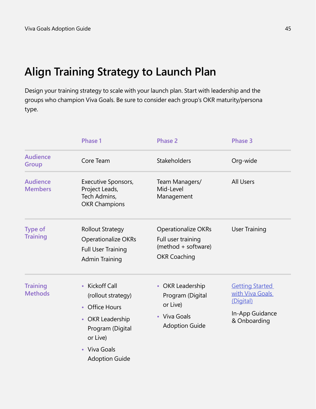# **Align Training Strategy to Launch Plan**

Design your training strategy to scale with your launch plan. Start with leadership and the groups who champion Viva Goals. Be sure to consider each group's OKR maturity/persona type.

| Phase 1                                                                                                                                                        | <b>Phase 2</b>                                                                                 | <b>Phase 3</b>                                                                            |
|----------------------------------------------------------------------------------------------------------------------------------------------------------------|------------------------------------------------------------------------------------------------|-------------------------------------------------------------------------------------------|
| Core Team                                                                                                                                                      | Stakeholders                                                                                   | Org-wide                                                                                  |
| Executive Sponsors,<br>Project Leads,<br>Tech Admins,<br><b>OKR Champions</b>                                                                                  | Team Managers/<br>Mid-Level<br>Management                                                      | <b>All Users</b>                                                                          |
| <b>Rollout Strategy</b><br><b>Operationalize OKRs</b><br><b>Full User Training</b><br><b>Admin Training</b>                                                    | <b>Operationalize OKRs</b><br>Full user training<br>(method + software)<br><b>OKR Coaching</b> | <b>User Training</b>                                                                      |
| <b>Kickoff Call</b><br>$\bullet$<br>(rollout strategy)<br><b>Office Hours</b><br>$\bullet$<br>• OKR Leadership<br>Program (Digital<br>or Live)<br>• Viva Goals | • OKR Leadership<br>Program (Digital<br>or Live)<br>• Viva Goals<br><b>Adoption Guide</b>      | <b>Getting Started</b><br>with Viva Goals<br>(Digital)<br>In-App Guidance<br>& Onboarding |
|                                                                                                                                                                | <b>Adoption Guide</b>                                                                          |                                                                                           |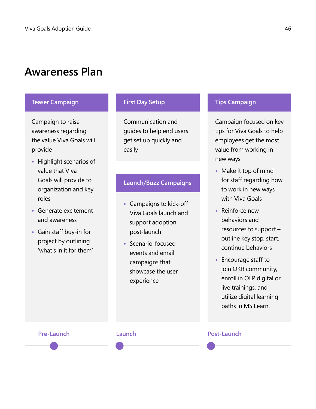# **Awareness Plan**

### **Teaser Campaign First Day Setup Tips Campaign**

Campaign to raise awareness regarding the value Viva Goals will provide

- **•** Highlight scenarios of value that Viva Goals will provide to organization and key roles
- **•** Generate excitement and awareness
- **•** Gain staff buy-in for project by outlining 'what's in it for them'

Communication and guides to help end users get set up quickly and easily

### **Launch/Buzz Campaigns**

- **•** Campaigns to kick-off Viva Goals launch and support adoption post-launch
- **•** Scenario-focused events and email campaigns that showcase the user experience

Campaign focused on key tips for Viva Goals to help employees get the most value from working in new ways

- **•** Make it top of mind for staff regarding how to work in new ways with Viva Goals
- **•** Reinforce new behaviors and resources to support – outline key stop, start, continue behaviors
- **•** Encourage staff to join OKR community, enroll in OLP digital or live trainings, and utilize digital learning paths in MS Learn.

### **Pre-Launch Launch Post-Launch**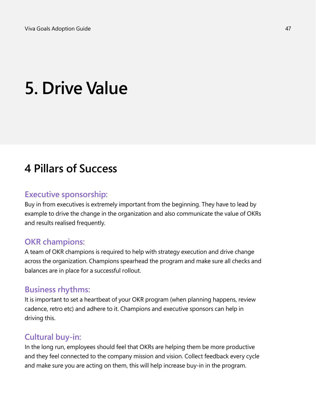# **5. Drive Value**

# **4 Pillars of Success**

### **Executive sponsorship:**

Buy in from executives is extremely important from the beginning. They have to lead by example to drive the change in the organization and also communicate the value of OKRs and results realised frequently.

### **OKR champions:**

A team of OKR champions is required to help with strategy execution and drive change across the organization. Champions spearhead the program and make sure all checks and balances are in place for a successful rollout.

### **Business rhythms:**

It is important to set a heartbeat of your OKR program (when planning happens, review cadence, retro etc) and adhere to it. Champions and executive sponsors can help in driving this.

### **Cultural buy-in:**

In the long run, employees should feel that OKRs are helping them be more productive and they feel connected to the company mission and vision. Collect feedback every cycle and make sure you are acting on them, this will help increase buy-in in the program.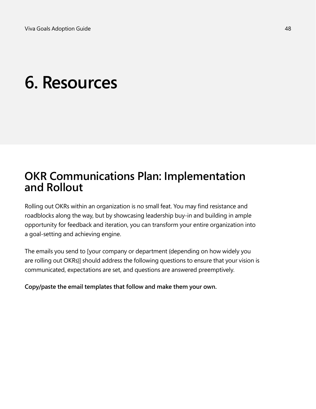# **6. Resources**

# **OKR Communications Plan: Implementation and Rollout**

Rolling out OKRs within an organization is no small feat. You may find resistance and roadblocks along the way, but by showcasing leadership buy-in and building in ample opportunity for feedback and iteration, you can transform your entire organization into a goal-setting and achieving engine.

The emails you send to [your company or department (depending on how widely you are rolling out OKRs)] should address the following questions to ensure that your vision is communicated, expectations are set, and questions are answered preemptively.

**Copy/paste the email templates that follow and make them your own.**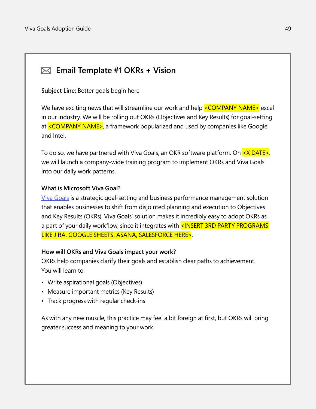# **Email Template #1 OKRs + Vision**

**Subject Line:** Better goals begin here

We have exciting news that will streamline our work and help <COMPANY NAME> excel in our industry. We will be rolling out OKRs (Objectives and Key Results) for goal-setting at <COMPANY NAME>, a framework popularized and used by companies like Google and Intel.

To do so, we have partnered with Viva Goals, an OKR software platform. On  $\leq$ X DATE $\geq$ , we will launch a company-wide training program to implement OKRs and Viva Goals into our daily work patterns.

### **What is Microsoft Viva Goal?**

[Viva Goals](https://www.microsoft.com/en-us/microsoft-viva) is a strategic goal-setting and business performance management solution that enables businesses to shift from disjointed planning and execution to Objectives and Key Results (OKRs). Viva Goals' solution makes it incredibly easy to adopt OKRs as a part of your daily workflow, since it integrates with <INSERT 3RD PARTY PROGRAMS LIKE JIRA, GOOGLE SHEETS, ASANA, SALESFORCE HERE>.

### **How will OKRs and Viva Goals impact your work?**

OKRs help companies clarify their goals and establish clear paths to achievement. You will learn to:

- Write aspirational goals (Objectives)
- Measure important metrics (Key Results)
- Track progress with regular check-ins

As with any new muscle, this practice may feel a bit foreign at first, but OKRs will bring greater success and meaning to your work.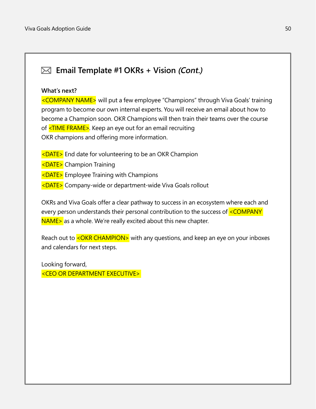# **Email Template #1 OKRs + Vision (Cont.)**

### **What's next?**

<COMPANY NAME> will put a few employee "Champions" through Viva Goals' training program to become our own internal experts. You will receive an email about how to become a Champion soon. OKR Champions will then train their teams over the course of <TIME FRAME>. Keep an eye out for an email recruiting OKR champions and offering more information.

- $\leq$ DATE $>$  End date for volunteering to be an OKR Champion
- <DATE> Champion Training
- <DATE> Employee Training with Champions
- <DATE> Company-wide or department-wide Viva Goals rollout

OKRs and Viva Goals offer a clear pathway to success in an ecosystem where each and every person understands their personal contribution to the success of <COMPANY NAME> as a whole. We're really excited about this new chapter.

Reach out to <OKR CHAMPION> with any questions, and keep an eye on your inboxes and calendars for next steps.

Looking forward, <CEO OR DEPARTMENT EXECUTIVE>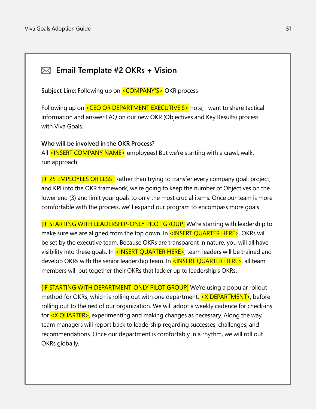# **Email Template #2 OKRs + Vision**

Subject Line: Following up on **<COMPANY'S>** OKR process

Following up on <CEO OR DEPARTMENT EXECUTIVE'S> note, I want to share tactical information and answer FAQ on our new OKR (Objectives and Key Results) process with Viva Goals.

### **Who will be involved in the OKR Process?**

All <INSERT COMPANY NAME> employees! But we're starting with a crawl, walk, run approach.

[IF 25 EMPLOYEES OR LESS] Rather than trying to transfer every company goal, project, and KPI into the OKR framework, we're going to keep the number of Objectives on the lower end (3) and limit your goals to only the most crucial items. Once our team is more comfortable with the process, we'll expand our program to encompass more goals.

[IF STARTING WITH LEADERSHIP-ONLY PILOT GROUP] We're starting with leadership to make sure we are aligned from the top down. In <INSERT QUARTER HERE>, OKRs will be set by the executive team. Because OKRs are transparent in nature, you will all have visibility into these goals. In  $\leq$ INSERT QUARTER HERE $\geq$ , team leaders will be trained and develop OKRs with the senior leadership team. In <INSERT QUARTER HERE>, all team members will put together their OKRs that ladder up to leadership's OKRs.

[IF STARTING WITH DEPARTMENT-ONLY PILOT GROUP] We're using a popular rollout method for OKRs, which is rolling out with one department, <**X DEPARTMENT**>, before rolling out to the rest of our organization. We will adopt a weekly cadence for check-ins for  $\langle X \rangle$  QUARTER $>$ , experimenting and making changes as necessary. Along the way, team managers will report back to leadership regarding successes, challenges, and recommendations. Once our department is comfortably in a rhythm, we will roll out OKRs globally.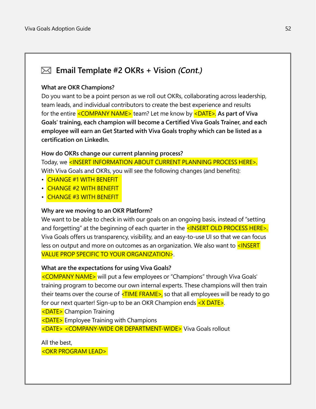## **Email Template #2 OKRs + Vision (Cont.)**

### **What are OKR Champions?**

Do you want to be a point person as we roll out OKRs, collaborating across leadership, team leads, and individual contributors to create the best experience and results for the entire <COMPANY NAME> team? Let me know by <DATE>. **As part of Viva Goals' training, each champion will become a Certified Viva Goals Trainer, and each employee will earn an Get Started with Viva Goals trophy which can be listed as a certification on LinkedIn.**

### **How do OKRs change our current planning process?**

Today, we <INSERT INFORMATION ABOUT CURRENT PLANNING PROCESS HERE>. With Viva Goals and OKRs, you will see the following changes (and benefits):

- CHANGE #1 WITH BENEFIT
- CHANGE #2 WITH BENEFIT
- CHANGE #3 WITH BENEFIT

### **Why are we moving to an OKR Platform?**

We want to be able to check in with our goals on an ongoing basis, instead of "setting and forgetting" at the beginning of each quarter in the  $\leq$ INSERT OLD PROCESS HERE $\geq$ . Viva Goals offers us transparency, visibility, and an easy-to-use UI so that we can focus less on output and more on outcomes as an organization. We also want to  $\leq$ INSERT VALUE PROP SPECIFIC TO YOUR ORGANIZATION>.

### **What are the expectations for using Viva Goals?**

<COMPANY NAME> will put a few employees or "Champions" through Viva Goals' training program to become our own internal experts. These champions will then train their teams over the course of  $\leq$ TIME FRAME>, so that all employees will be ready to go for our next quarter! Sign-up to be an OKR Champion ends <X DATE>.

<DATE> Champion Training

<DATE> Employee Training with Champions

<DATE> <COMPANY-WIDE OR DEPARTMENT-WIDE> Viva Goals rollout

All the best,

<OKR PROGRAM LEAD>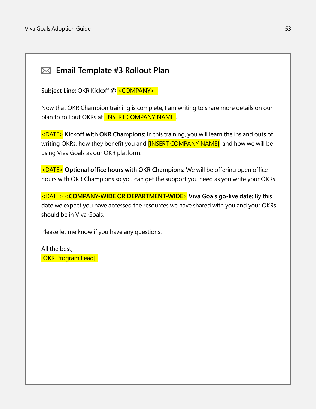# **Email Template #3 Rollout Plan**

**Subject Line: OKR Kickoff @ <COMPANY>** 

Now that OKR Champion training is complete, I am writing to share more details on our plan to roll out OKRs at **[INSERT COMPANY NAME]**.

<DATE> **Kickoff with OKR Champions:** In this training, you will learn the ins and outs of writing OKRs, how they benefit you and **[INSERT COMPANY NAME]**, and how we will be using Viva Goals as our OKR platform.

<DATE> **Optional office hours with OKR Champions:** We will be offering open office hours with OKR Champions so you can get the support you need as you write your OKRs.

<DATE> **<COMPANY-WIDE OR DEPARTMENT-WIDE> Viva Goals go-live date:** By this date we expect you have accessed the resources we have shared with you and your OKRs should be in Viva Goals.

Please let me know if you have any questions.

All the best, [OKR Program Lead]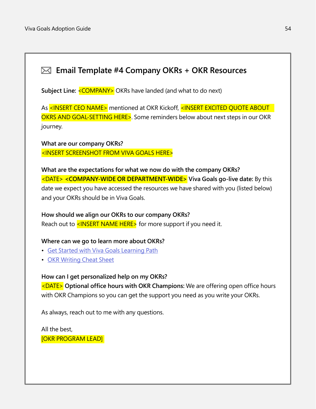# **Email Template #4 Company OKRs + OKR Resources**

Subject Line: <COMPANY> OKRs have landed (and what to do next)

As <INSERT CEO NAME> mentioned at OKR Kickoff, <INSERT EXCITED QUOTE ABOUT OKRS AND GOAL-SETTING HERE>. Some reminders below about next steps in our OKR journey.

**What are our company OKRs?** <INSERT SCREENSHOT FROM VIVA GOALS HERE>

**What are the expectations for what we now do with the company OKRs?** <DATE> **<COMPANY-WIDE OR DEPARTMENT-WIDE> Viva Goals go-live date:** By this date we expect you have accessed the resources we have shared with you (listed below) and your OKRs should be in Viva Goals.

### **How should we align our OKRs to our company OKRs?**

Reach out to  $\leq$ INSERT NAME HERE $>$  for more support if you need it.

### **Where can we go to learn more about OKRs?**

- Get Started with [Viva Goals Learning P](http://docs.microsoft.com/learn/paths/viva-goals-get-started)ath
- [OKR Writing Cheat Sheet](https://go.microsoft.com/fwlink/?linkid=2194114 )

### **How can I get personalized help on my OKRs?**

<DATE> **Optional office hours with OKR Champions:** We are offering open office hours with OKR Champions so you can get the support you need as you write your OKRs.

As always, reach out to me with any questions.

All the best, [OKR PROGRAM LEAD]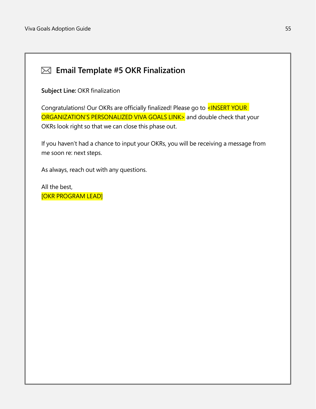# **Email Template #5 OKR Finalization**

**Subject Line:** OKR finalization

Congratulations! Our OKRs are officially finalized! Please go to <INSERT YOUR ORGANIZATION'S PERSONALIZED VIVA GOALS LINK> and double check that your OKRs look right so that we can close this phase out.

If you haven't had a chance to input your OKRs, you will be receiving a message from me soon re: next steps.

As always, reach out with any questions.

All the best, [OKR PROGRAM LEAD]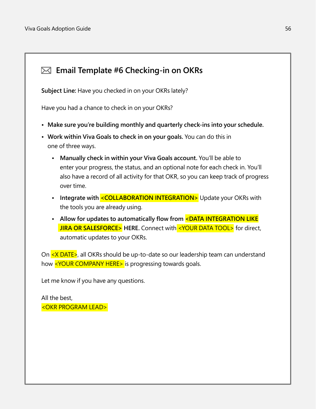

**Subject Line:** Have you checked in on your OKRs lately?

Have you had a chance to check in on your OKRs?

- **• Make sure you're building monthly and quarterly check-ins into your schedule.**
- **• Work within Viva Goals to check in on your goals.** You can do this in one of three ways.
	- **• Manually check in within your Viva Goals account.** You'll be able to enter your progress, the status, and an optional note for each check in. You'll also have a record of all activity for that OKR, so you can keep track of progress over time.
	- Integrate with <**COLLABORATION INTEGRATION>** Update your OKRs with the tools you are already using.
	- Allow for updates to automatically flow from <DATA INTEGRATION LIKE **JIRA OR SALESFORCE>** HERE. Connect with <YOUR DATA TOOL> for direct, automatic updates to your OKRs.

On <X DATE>, all OKRs should be up-to-date so our leadership team can understand how <YOUR COMPANY HERE> is progressing towards goals.

Let me know if you have any questions.

All the best, <OKR PROGRAM LEAD>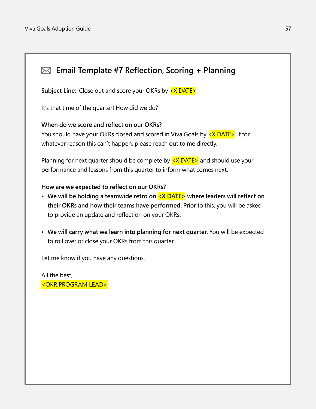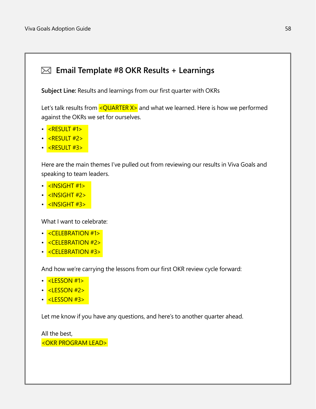## **Email Template #8 OKR Results + Learnings**

**Subject Line:** Results and learnings from our first quarter with OKRs

Let's talk results from  $\leq$ QUARTER  $X$ > and what we learned. Here is how we performed against the OKRs we set for ourselves.

- <RESULT #1>
- <RESULT #2>
- <RESULT #3>

Here are the main themes I've pulled out from reviewing our results in Viva Goals and speaking to team leaders.

- $\cdot$   $\sqrt{3}$   $\sqrt{3}$   $\sqrt{3}$   $\sqrt{3}$   $\sqrt{3}$   $\sqrt{11}$   $\sqrt{11}$
- $\cdot$  <INSIGHT #2>
- <INSIGHT #3>

What I want to celebrate:

- <CELEBRATION #1>
- <CELEBRATION #2>
- <CELEBRATION #3>

And how we're carrying the lessons from our first OKR review cycle forward:

- <LESSON #1>
- <LESSON #2>
- <mark><LESSON #3></mark>

Let me know if you have any questions, and here's to another quarter ahead.

All the best, <OKR PROGRAM LEAD>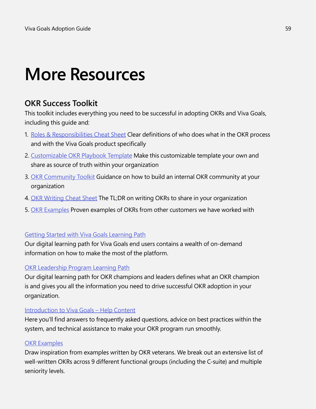# **More Resources**

# **OKR Success Toolkit**

This toolkit includes everything you need to be successful in adopting OKRs and Viva Goals, including this guide and:

- 1. [Roles & Responsibilities Cheat Sheet](https://go.microsoft.com/fwlink/?linkid=2194112) Clear definitions of who does what in the OKR process and with the Viva Goals product specifically
- 2. [Customizable OKR Playbook Template](https://go.microsoft.com/fwlink/?linkid=2194008) Make this customizable template your own and share as source of truth within your organization
- 3. [OKR Community Toolkit](https://go.microsoft.com/fwlink/?linkid=2194009) Guidance on how to build an internal OKR community at your organization
- 4. [OKR Writing Cheat Sheet](https://go.microsoft.com/fwlink/?linkid=2194114) The TL;DR on writing OKRs to share in your organization
- 5. [OKR Examples](https://go.microsoft.com/fwlink/?linkid=2193541) Proven examples of OKRs from other customers we have worked with

### [Getting Started with Viva Goals Learning Path](https://docs.microsoft.com/en-us/learn/paths/viva-goals-get-started)

Our digital learning path for Viva Goals end users contains a wealth of on-demand information on how to make the most of the platform.

### [OKR Leadership Program Learning Path](http://docs.microsoft.com/learn/paths/okr-champions)

Our digital learning path for OKR champions and leaders defines what an OKR champion is and gives you all the information you need to drive successful OKR adoption in your organization.

### [Introduction to Viva Goals – Help Content](https://go.microsoft.com/fwlink/?linkid=2193902)

Here you'll find answers to frequently asked questions, advice on best practices within the system, and technical assistance to make your OKR program run smoothly.

### [OKR Examples](https://go.microsoft.com/fwlink/?linkid=2193541)

Draw inspiration from examples written by OKR veterans. We break out an extensive list of well-written OKRs across 9 different functional groups (including the C-suite) and multiple seniority levels.